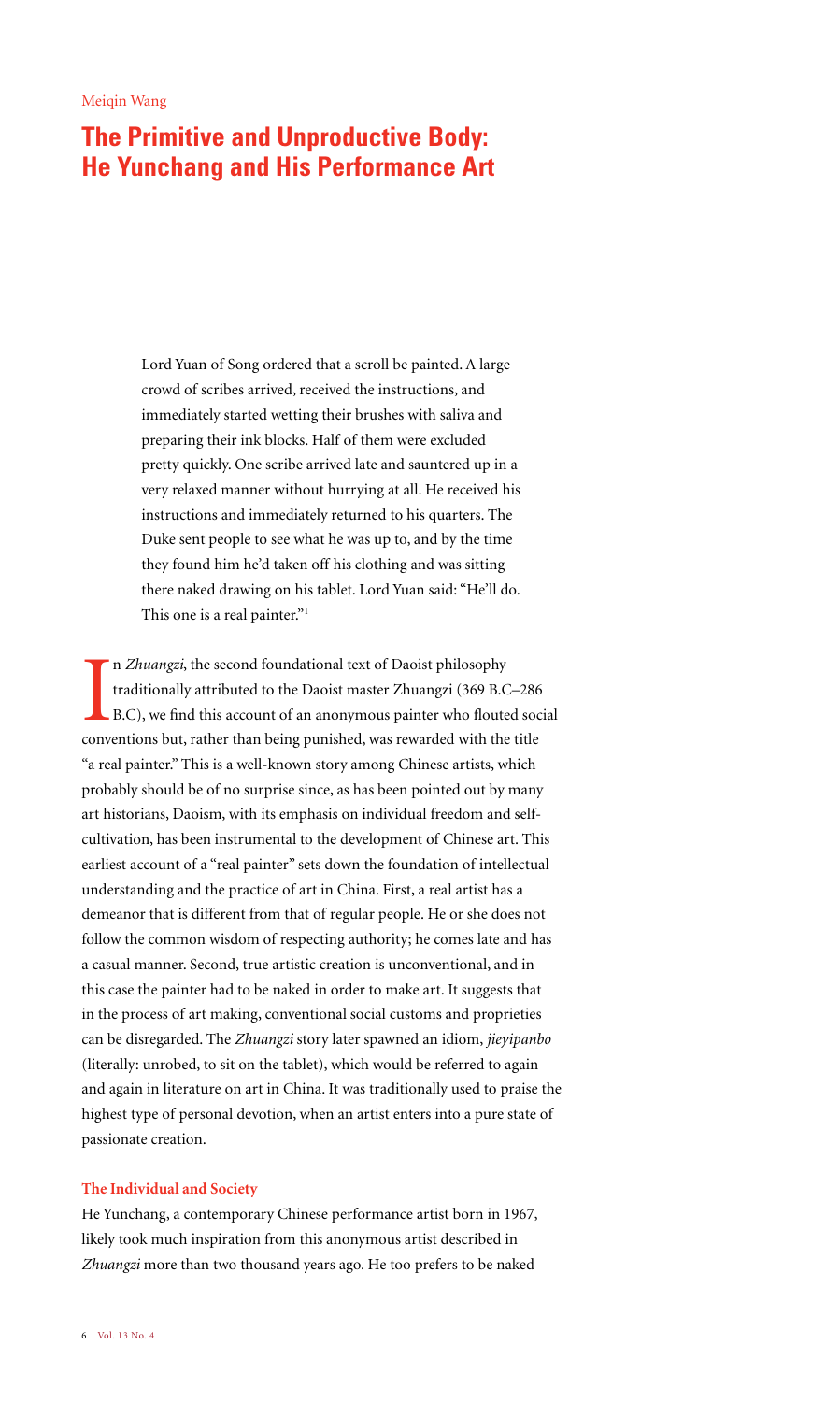# **The Primitive and Unproductive Body: He Yunchang and His Performance Art**

Lord Yuan of Song ordered that a scroll be painted. A large crowd of scribes arrived, received the instructions, and immediately started wetting their brushes with saliva and preparing their ink blocks. Half of them were excluded pretty quickly. One scribe arrived late and sauntered up in a very relaxed manner without hurrying at all. He received his instructions and immediately returned to his quarters. The Duke sent people to see what he was up to, and by the time they found him he'd taken off his clothing and was sitting there naked drawing on his tablet. Lord Yuan said: "He'll do. This one is a real painter."1

In *Zhuangzi*, the second foundational text of Daoist philosophy<br>traditionally attributed to the Daoist master Zhuangzi (369 B.C–286<br>B.C), we find this account of an anonymous painter who flouted soc<br>conventions but, rathe n *Zhuangzi*, the second foundational text of Daoist philosophy traditionally attributed to the Daoist master Zhuangzi (369 B.C–286 B.C), we find this account of an anonymous painter who flouted social "a real painter." This is a well-known story among Chinese artists, which probably should be of no surprise since, as has been pointed out by many art historians, Daoism, with its emphasis on individual freedom and selfcultivation, has been instrumental to the development of Chinese art. This earliest account of a "real painter" sets down the foundation of intellectual understanding and the practice of art in China. First, a real artist has a demeanor that is different from that of regular people. He or she does not follow the common wisdom of respecting authority; he comes late and has a casual manner. Second, true artistic creation is unconventional, and in this case the painter had to be naked in order to make art. It suggests that in the process of art making, conventional social customs and proprieties can be disregarded. The *Zhuangzi* story later spawned an idiom, *jieyipanbo* (literally: unrobed, to sit on the tablet), which would be referred to again and again in literature on art in China. It was traditionally used to praise the highest type of personal devotion, when an artist enters into a pure state of passionate creation.

### **The Individual and Society**

He Yunchang, a contemporary Chinese performance artist born in 1967, likely took much inspiration from this anonymous artist described in *Zhuangzi* more than two thousand years ago. He too prefers to be naked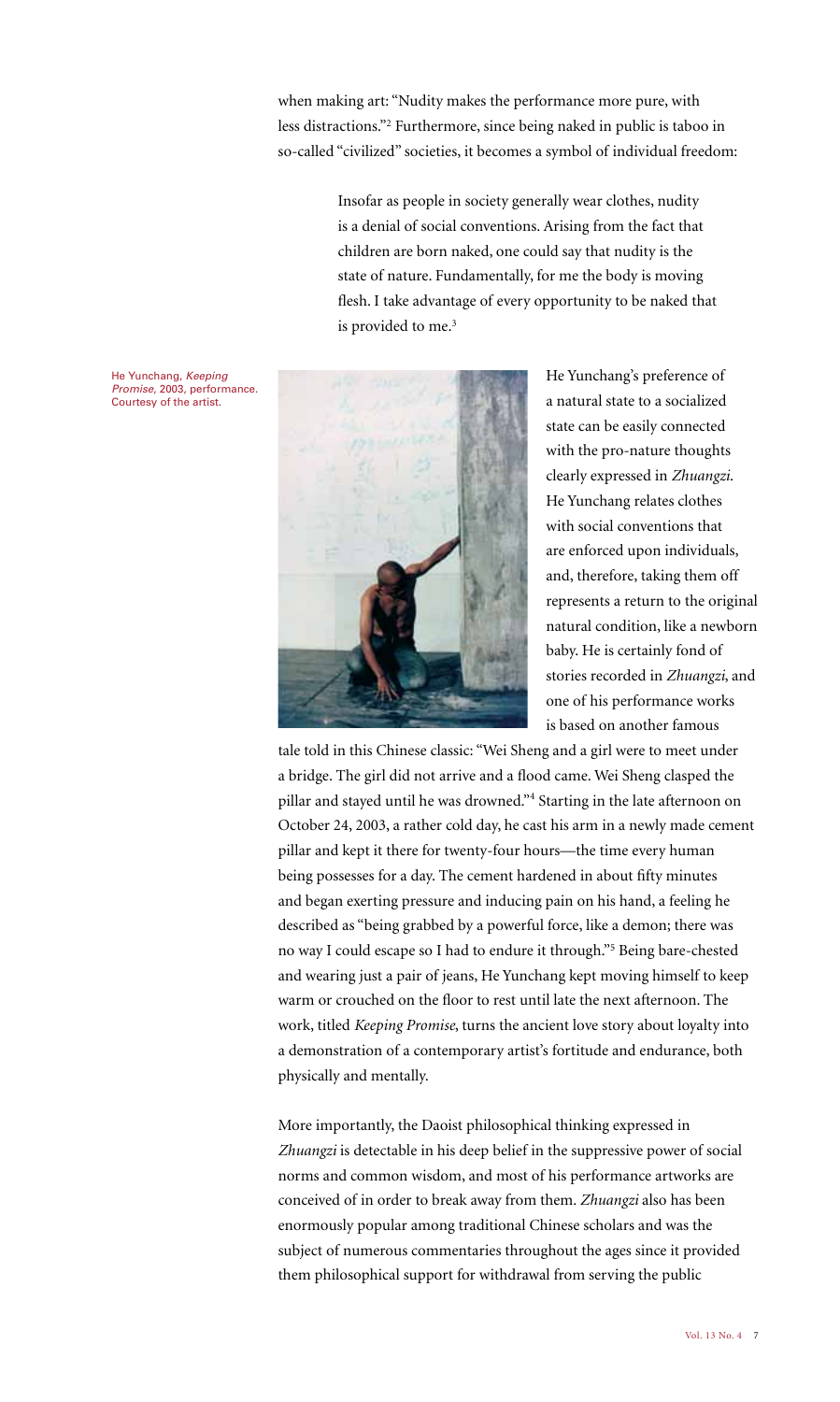when making art: "Nudity makes the performance more pure, with less distractions."2 Furthermore, since being naked in public is taboo in so-called "civilized" societies, it becomes a symbol of individual freedom:

> Insofar as people in society generally wear clothes, nudity is a denial of social conventions. Arising from the fact that children are born naked, one could say that nudity is the state of nature. Fundamentally, for me the body is moving flesh. I take advantage of every opportunity to be naked that is provided to me.<sup>3</sup>



He Yunchang's preference of a natural state to a socialized state can be easily connected with the pro-nature thoughts clearly expressed in *Zhuangzi*. He Yunchang relates clothes with social conventions that are enforced upon individuals, and, therefore, taking them off represents a return to the original natural condition, like a newborn baby. He is certainly fond of stories recorded in *Zhuangzi*, and one of his performance works is based on another famous

tale told in this Chinese classic: "Wei Sheng and a girl were to meet under a bridge. The girl did not arrive and a flood came. Wei Sheng clasped the pillar and stayed until he was drowned."<sup>4</sup> Starting in the late afternoon on October 24, 2003, a rather cold day, he cast his arm in a newly made cement pillar and kept it there for twenty-four hours—the time every human being possesses for a day. The cement hardened in about fifty minutes and began exerting pressure and inducing pain on his hand, a feeling he described as "being grabbed by a powerful force, like a demon; there was no way I could escape so I had to endure it through."5 Being bare-chested and wearing just a pair of jeans, He Yunchang kept moving himself to keep warm or crouched on the floor to rest until late the next afternoon. The work, titled *Keeping Promise*, turns the ancient love story about loyalty into a demonstration of a contemporary artist's fortitude and endurance, both physically and mentally.

More importantly, the Daoist philosophical thinking expressed in *Zhuangzi* is detectable in his deep belief in the suppressive power of social norms and common wisdom, and most of his performance artworks are conceived of in order to break away from them. *Zhuangzi* also has been enormously popular among traditional Chinese scholars and was the subject of numerous commentaries throughout the ages since it provided them philosophical support for withdrawal from serving the public

He Yunchang, Keeping Promise, 2003, performance. Courtesy of the artist.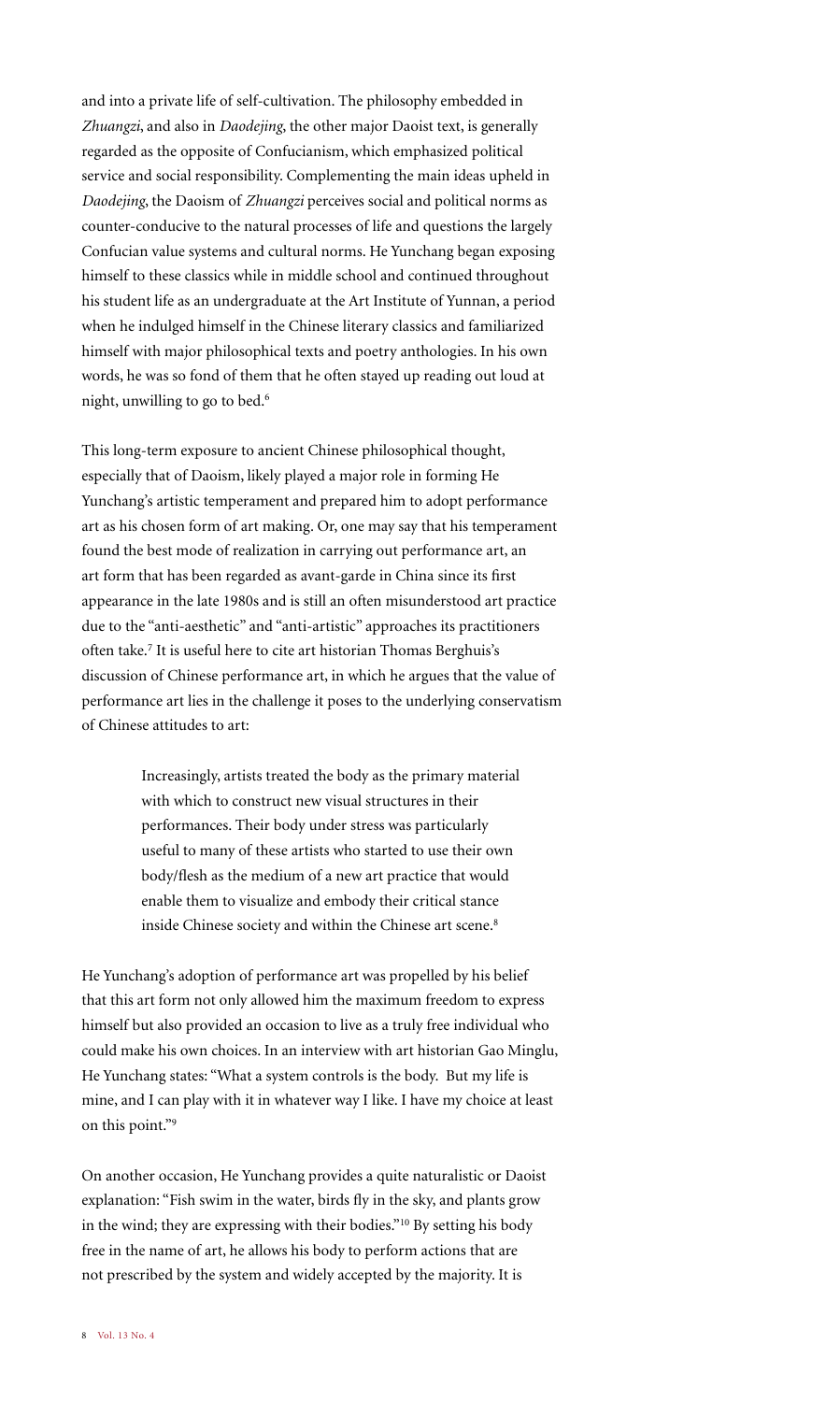and into a private life of self-cultivation. The philosophy embedded in *Zhuangzi*, and also in *Daodejing*, the other major Daoist text, is generally regarded as the opposite of Confucianism, which emphasized political service and social responsibility. Complementing the main ideas upheld in *Daodejing*, the Daoism of *Zhuangzi* perceives social and political norms as counter-conducive to the natural processes of life and questions the largely Confucian value systems and cultural norms. He Yunchang began exposing himself to these classics while in middle school and continued throughout his student life as an undergraduate at the Art Institute of Yunnan, a period when he indulged himself in the Chinese literary classics and familiarized himself with major philosophical texts and poetry anthologies. In his own words, he was so fond of them that he often stayed up reading out loud at night, unwilling to go to bed.6

This long-term exposure to ancient Chinese philosophical thought, especially that of Daoism, likely played a major role in forming He Yunchang's artistic temperament and prepared him to adopt performance art as his chosen form of art making. Or, one may say that his temperament found the best mode of realization in carrying out performance art, an art form that has been regarded as avant-garde in China since its first appearance in the late 1980s and is still an often misunderstood art practice due to the "anti-aesthetic" and "anti-artistic" approaches its practitioners often take.<sup>7</sup> It is useful here to cite art historian Thomas Berghuis's discussion of Chinese performance art, in which he argues that the value of performance art lies in the challenge it poses to the underlying conservatism of Chinese attitudes to art:

> Increasingly, artists treated the body as the primary material with which to construct new visual structures in their performances. Their body under stress was particularly useful to many of these artists who started to use their own body/flesh as the medium of a new art practice that would enable them to visualize and embody their critical stance inside Chinese society and within the Chinese art scene.<sup>8</sup>

He Yunchang's adoption of performance art was propelled by his belief that this art form not only allowed him the maximum freedom to express himself but also provided an occasion to live as a truly free individual who could make his own choices. In an interview with art historian Gao Minglu, He Yunchang states: "What a system controls is the body. But my life is mine, and I can play with it in whatever way I like. I have my choice at least on this point."9

On another occasion, He Yunchang provides a quite naturalistic or Daoist explanation: "Fish swim in the water, birds fly in the sky, and plants grow in the wind; they are expressing with their bodies."10 By setting his body free in the name of art, he allows his body to perform actions that are not prescribed by the system and widely accepted by the majority. It is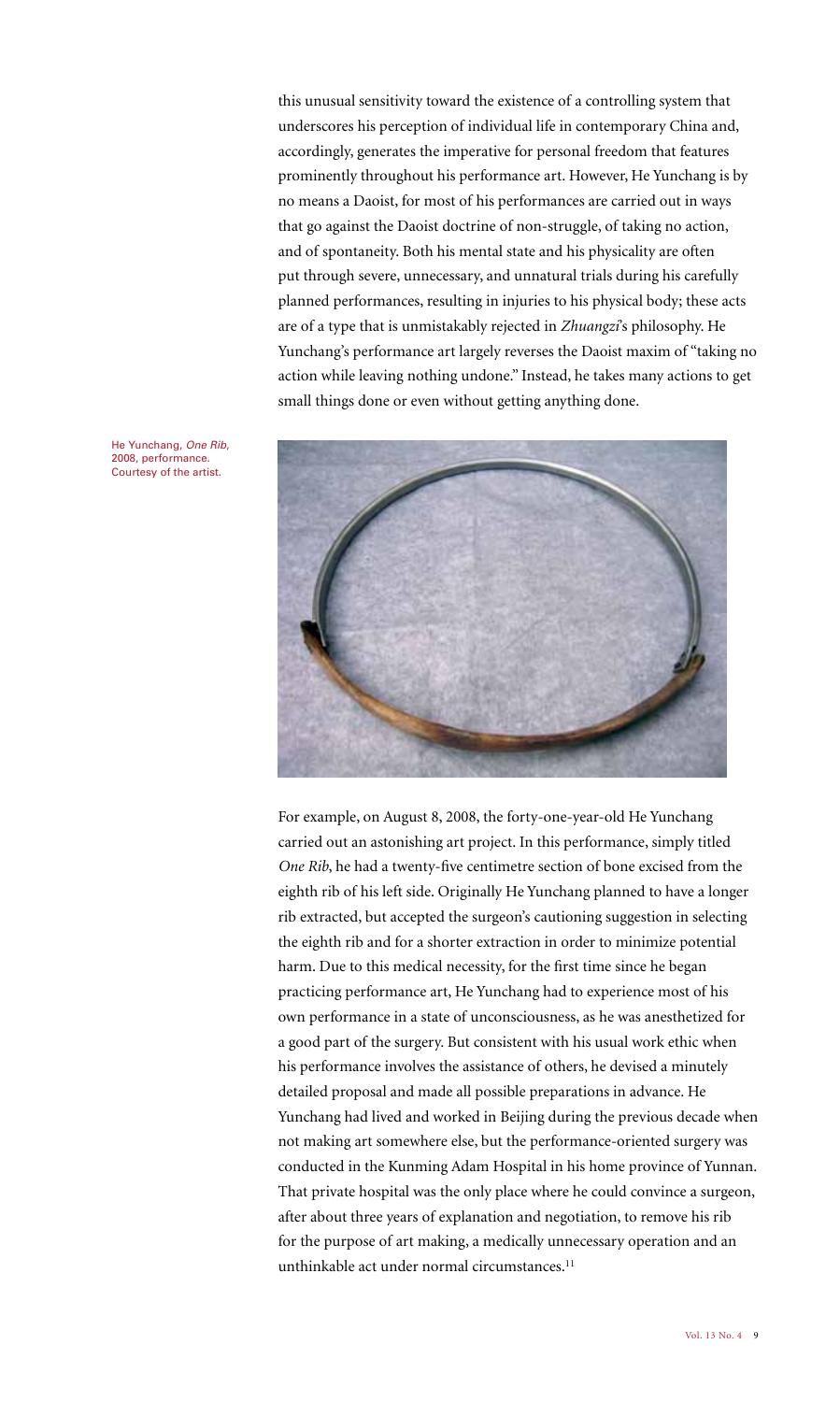this unusual sensitivity toward the existence of a controlling system that underscores his perception of individual life in contemporary China and, accordingly, generates the imperative for personal freedom that features prominently throughout his performance art. However, He Yunchang is by no means a Daoist, for most of his performances are carried out in ways that go against the Daoist doctrine of non-struggle, of taking no action, and of spontaneity. Both his mental state and his physicality are often put through severe, unnecessary, and unnatural trials during his carefully planned performances, resulting in injuries to his physical body; these acts are of a type that is unmistakably rejected in *Zhuangzi*'s philosophy. He Yunchang's performance art largely reverses the Daoist maxim of "taking no action while leaving nothing undone." Instead, he takes many actions to get small things done or even without getting anything done.

He Yunchang, One Rib, 2008, performance. Courtesy of the artist.



For example, on August 8, 2008, the forty-one-year-old He Yunchang carried out an astonishing art project. In this performance, simply titled *One Rib*, he had a twenty-five centimetre section of bone excised from the eighth rib of his left side. Originally He Yunchang planned to have a longer rib extracted, but accepted the surgeon's cautioning suggestion in selecting the eighth rib and for a shorter extraction in order to minimize potential harm. Due to this medical necessity, for the first time since he began practicing performance art, He Yunchang had to experience most of his own performance in a state of unconsciousness, as he was anesthetized for a good part of the surgery. But consistent with his usual work ethic when his performance involves the assistance of others, he devised a minutely detailed proposal and made all possible preparations in advance. He Yunchang had lived and worked in Beijing during the previous decade when not making art somewhere else, but the performance-oriented surgery was conducted in the Kunming Adam Hospital in his home province of Yunnan. That private hospital was the only place where he could convince a surgeon, after about three years of explanation and negotiation, to remove his rib for the purpose of art making, a medically unnecessary operation and an unthinkable act under normal circumstances.<sup>11</sup>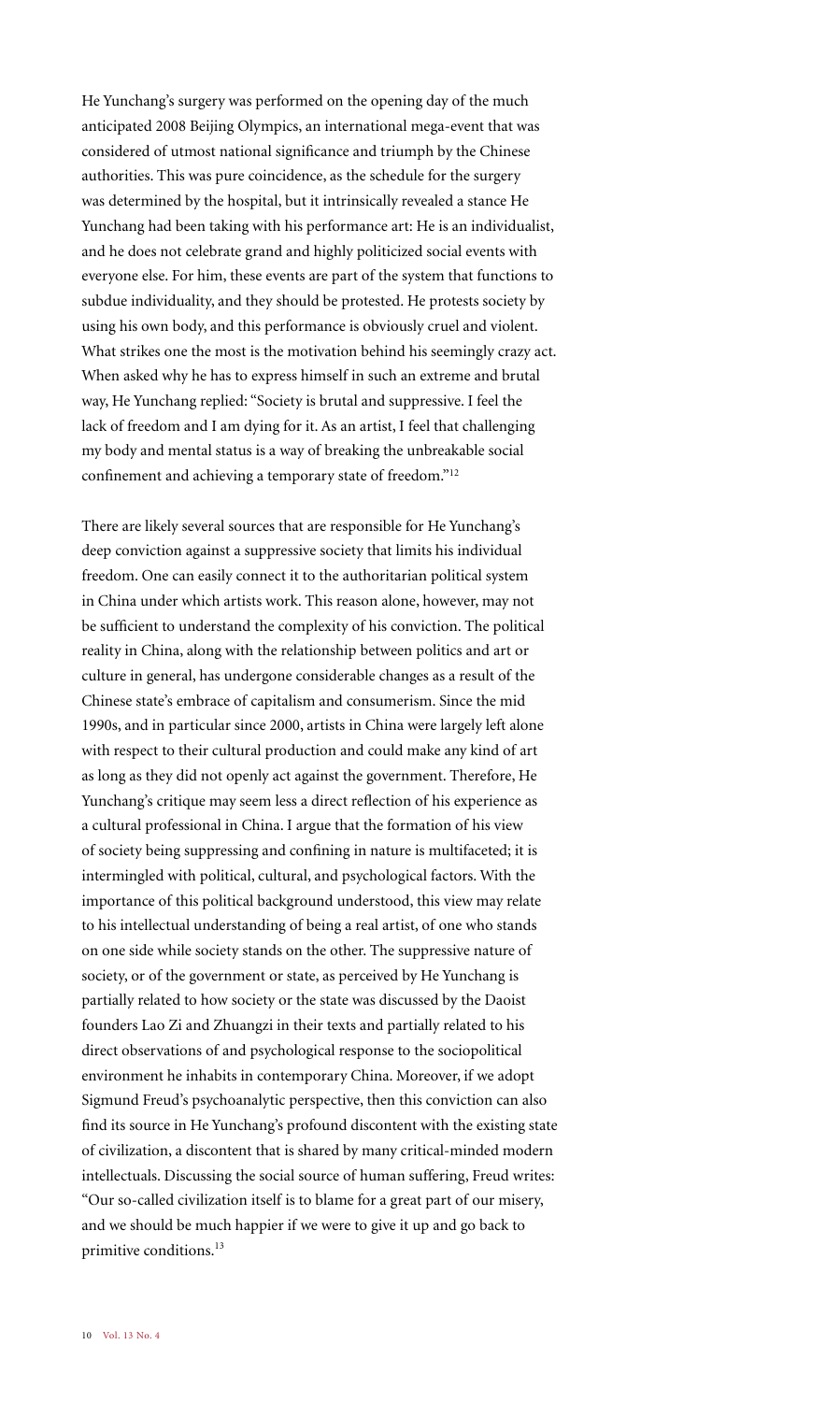He Yunchang's surgery was performed on the opening day of the much anticipated 2008 Beijing Olympics, an international mega-event that was considered of utmost national significance and triumph by the Chinese authorities. This was pure coincidence, as the schedule for the surgery was determined by the hospital, but it intrinsically revealed a stance He Yunchang had been taking with his performance art: He is an individualist, and he does not celebrate grand and highly politicized social events with everyone else. For him, these events are part of the system that functions to subdue individuality, and they should be protested. He protests society by using his own body, and this performance is obviously cruel and violent. What strikes one the most is the motivation behind his seemingly crazy act. When asked why he has to express himself in such an extreme and brutal way, He Yunchang replied: "Society is brutal and suppressive. I feel the lack of freedom and I am dying for it. As an artist, I feel that challenging my body and mental status is a way of breaking the unbreakable social confinement and achieving a temporary state of freedom."12

There are likely several sources that are responsible for He Yunchang's deep conviction against a suppressive society that limits his individual freedom. One can easily connect it to the authoritarian political system in China under which artists work. This reason alone, however, may not be sufficient to understand the complexity of his conviction. The political reality in China, along with the relationship between politics and art or culture in general, has undergone considerable changes as a result of the Chinese state's embrace of capitalism and consumerism. Since the mid 1990s, and in particular since 2000, artists in China were largely left alone with respect to their cultural production and could make any kind of art as long as they did not openly act against the government. Therefore, He Yunchang's critique may seem less a direct reflection of his experience as a cultural professional in China. I argue that the formation of his view of society being suppressing and confining in nature is multifaceted; it is intermingled with political, cultural, and psychological factors. With the importance of this political background understood, this view may relate to his intellectual understanding of being a real artist, of one who stands on one side while society stands on the other. The suppressive nature of society, or of the government or state, as perceived by He Yunchang is partially related to how society or the state was discussed by the Daoist founders Lao Zi and Zhuangzi in their texts and partially related to his direct observations of and psychological response to the sociopolitical environment he inhabits in contemporary China. Moreover, if we adopt Sigmund Freud's psychoanalytic perspective, then this conviction can also find its source in He Yunchang's profound discontent with the existing state of civilization, a discontent that is shared by many critical-minded modern intellectuals. Discussing the social source of human suffering, Freud writes: "Our so-called civilization itself is to blame for a great part of our misery, and we should be much happier if we were to give it up and go back to primitive conditions.<sup>13</sup>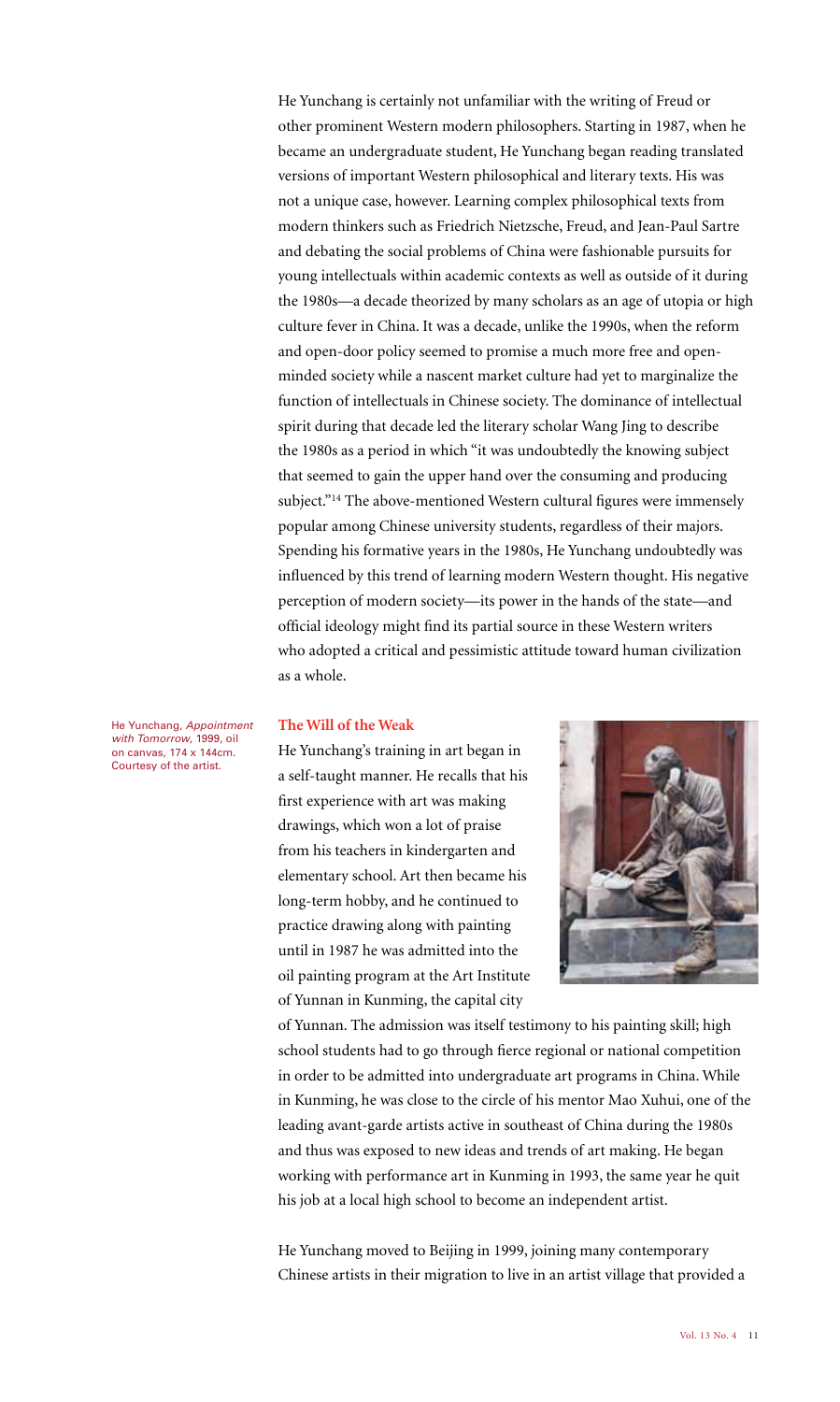He Yunchang is certainly not unfamiliar with the writing of Freud or other prominent Western modern philosophers. Starting in 1987, when he became an undergraduate student, He Yunchang began reading translated versions of important Western philosophical and literary texts. His was not a unique case, however. Learning complex philosophical texts from modern thinkers such as Friedrich Nietzsche, Freud, and Jean-Paul Sartre and debating the social problems of China were fashionable pursuits for young intellectuals within academic contexts as well as outside of it during the 1980s—a decade theorized by many scholars as an age of utopia or high culture fever in China. It was a decade, unlike the 1990s, when the reform and open-door policy seemed to promise a much more free and openminded society while a nascent market culture had yet to marginalize the function of intellectuals in Chinese society. The dominance of intellectual spirit during that decade led the literary scholar Wang Jing to describe the 1980s as a period in which "it was undoubtedly the knowing subject that seemed to gain the upper hand over the consuming and producing subject."14 The above-mentioned Western cultural figures were immensely popular among Chinese university students, regardless of their majors. Spending his formative years in the 1980s, He Yunchang undoubtedly was influenced by this trend of learning modern Western thought. His negative perception of modern society—its power in the hands of the state—and official ideology might find its partial source in these Western writers who adopted a critical and pessimistic attitude toward human civilization as a whole.

He Yunchang, Appointment with Tomorrow, 1999, oil on canvas, 174 x 144cm. Courtesy of the artist.

#### **The Will of the Weak**

He Yunchang's training in art began in a self-taught manner. He recalls that his first experience with art was making drawings, which won a lot of praise from his teachers in kindergarten and elementary school. Art then became his long-term hobby, and he continued to practice drawing along with painting until in 1987 he was admitted into the oil painting program at the Art Institute of Yunnan in Kunming, the capital city



of Yunnan. The admission was itself testimony to his painting skill; high school students had to go through fierce regional or national competition in order to be admitted into undergraduate art programs in China. While in Kunming, he was close to the circle of his mentor Mao Xuhui, one of the leading avant-garde artists active in southeast of China during the 1980s and thus was exposed to new ideas and trends of art making. He began working with performance art in Kunming in 1993, the same year he quit his job at a local high school to become an independent artist.

He Yunchang moved to Beijing in 1999, joining many contemporary Chinese artists in their migration to live in an artist village that provided a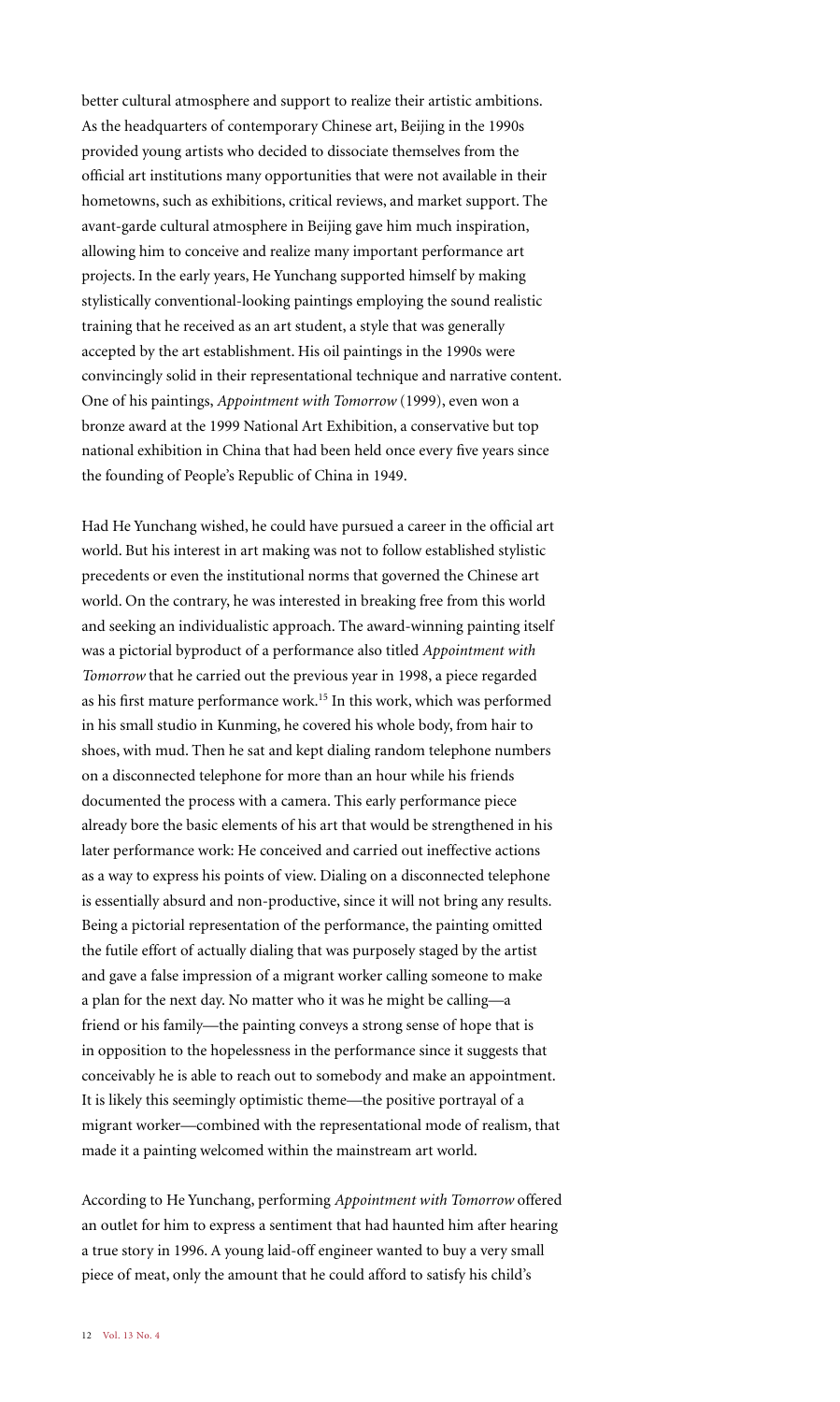better cultural atmosphere and support to realize their artistic ambitions. As the headquarters of contemporary Chinese art, Beijing in the 1990s provided young artists who decided to dissociate themselves from the official art institutions many opportunities that were not available in their hometowns, such as exhibitions, critical reviews, and market support. The avant-garde cultural atmosphere in Beijing gave him much inspiration, allowing him to conceive and realize many important performance art projects. In the early years, He Yunchang supported himself by making stylistically conventional-looking paintings employing the sound realistic training that he received as an art student, a style that was generally accepted by the art establishment. His oil paintings in the 1990s were convincingly solid in their representational technique and narrative content. One of his paintings, *Appointment with Tomorrow* (1999), even won a bronze award at the 1999 National Art Exhibition, a conservative but top national exhibition in China that had been held once every five years since the founding of People's Republic of China in 1949.

Had He Yunchang wished, he could have pursued a career in the official art world. But his interest in art making was not to follow established stylistic precedents or even the institutional norms that governed the Chinese art world. On the contrary, he was interested in breaking free from this world and seeking an individualistic approach. The award-winning painting itself was a pictorial byproduct of a performance also titled *Appointment with Tomorrow* that he carried out the previous year in 1998, a piece regarded as his first mature performance work.15 In this work, which was performed in his small studio in Kunming, he covered his whole body, from hair to shoes, with mud. Then he sat and kept dialing random telephone numbers on a disconnected telephone for more than an hour while his friends documented the process with a camera. This early performance piece already bore the basic elements of his art that would be strengthened in his later performance work: He conceived and carried out ineffective actions as a way to express his points of view. Dialing on a disconnected telephone is essentially absurd and non-productive, since it will not bring any results. Being a pictorial representation of the performance, the painting omitted the futile effort of actually dialing that was purposely staged by the artist and gave a false impression of a migrant worker calling someone to make a plan for the next day. No matter who it was he might be calling—a friend or his family—the painting conveys a strong sense of hope that is in opposition to the hopelessness in the performance since it suggests that conceivably he is able to reach out to somebody and make an appointment. It is likely this seemingly optimistic theme—the positive portrayal of a migrant worker—combined with the representational mode of realism, that made it a painting welcomed within the mainstream art world.

According to He Yunchang, performing *Appointment with Tomorrow* offered an outlet for him to express a sentiment that had haunted him after hearing a true story in 1996. A young laid-off engineer wanted to buy a very small piece of meat, only the amount that he could afford to satisfy his child's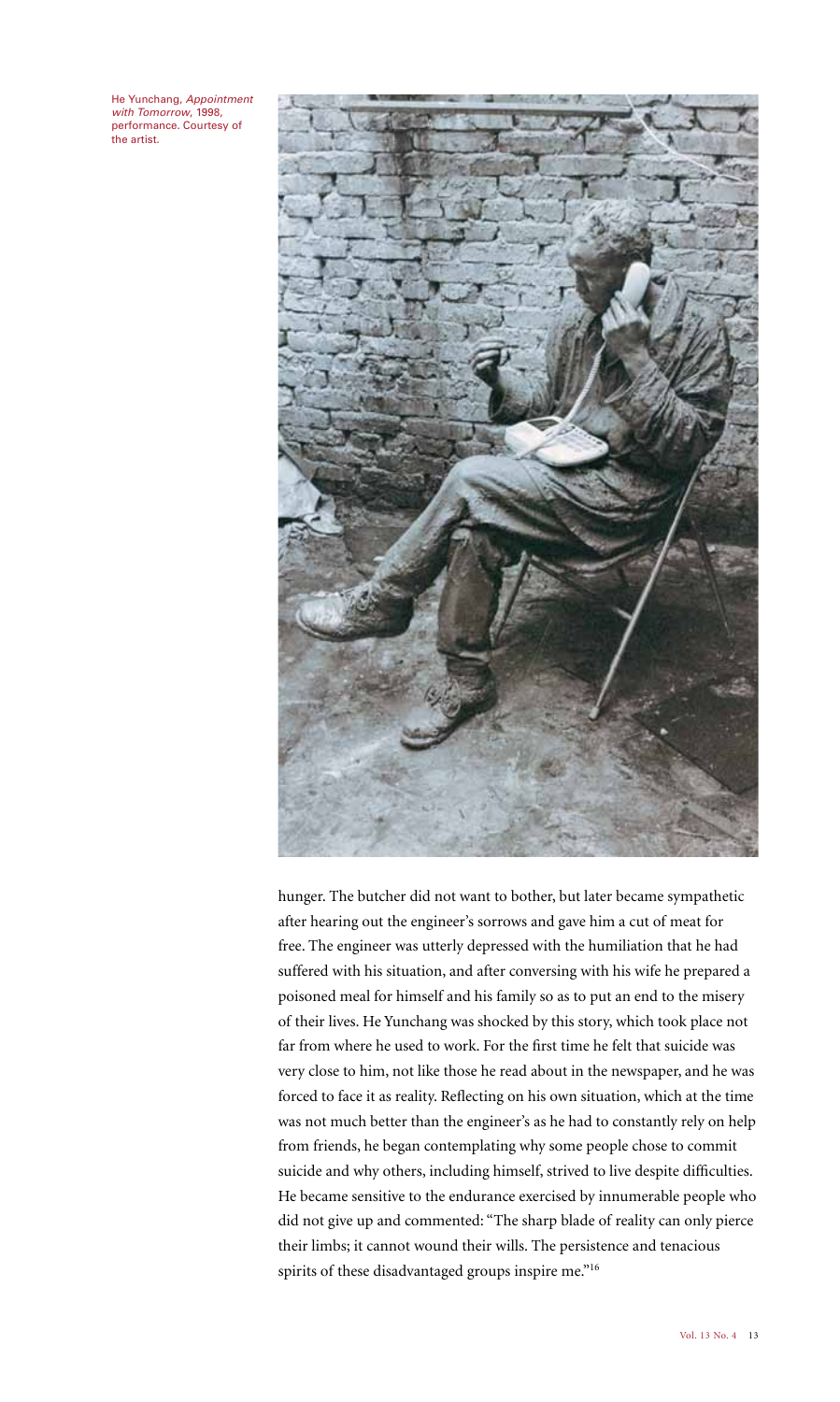He Yunchang, Appointment with Tomorrow, 1998, performance. Courtesy of .<br>the artist.



hunger. The butcher did not want to bother, but later became sympathetic after hearing out the engineer's sorrows and gave him a cut of meat for free. The engineer was utterly depressed with the humiliation that he had suffered with his situation, and after conversing with his wife he prepared a poisoned meal for himself and his family so as to put an end to the misery of their lives. He Yunchang was shocked by this story, which took place not far from where he used to work. For the first time he felt that suicide was very close to him, not like those he read about in the newspaper, and he was forced to face it as reality. Reflecting on his own situation, which at the time was not much better than the engineer's as he had to constantly rely on help from friends, he began contemplating why some people chose to commit suicide and why others, including himself, strived to live despite difficulties. He became sensitive to the endurance exercised by innumerable people who did not give up and commented: "The sharp blade of reality can only pierce their limbs; it cannot wound their wills. The persistence and tenacious spirits of these disadvantaged groups inspire me."<sup>16</sup>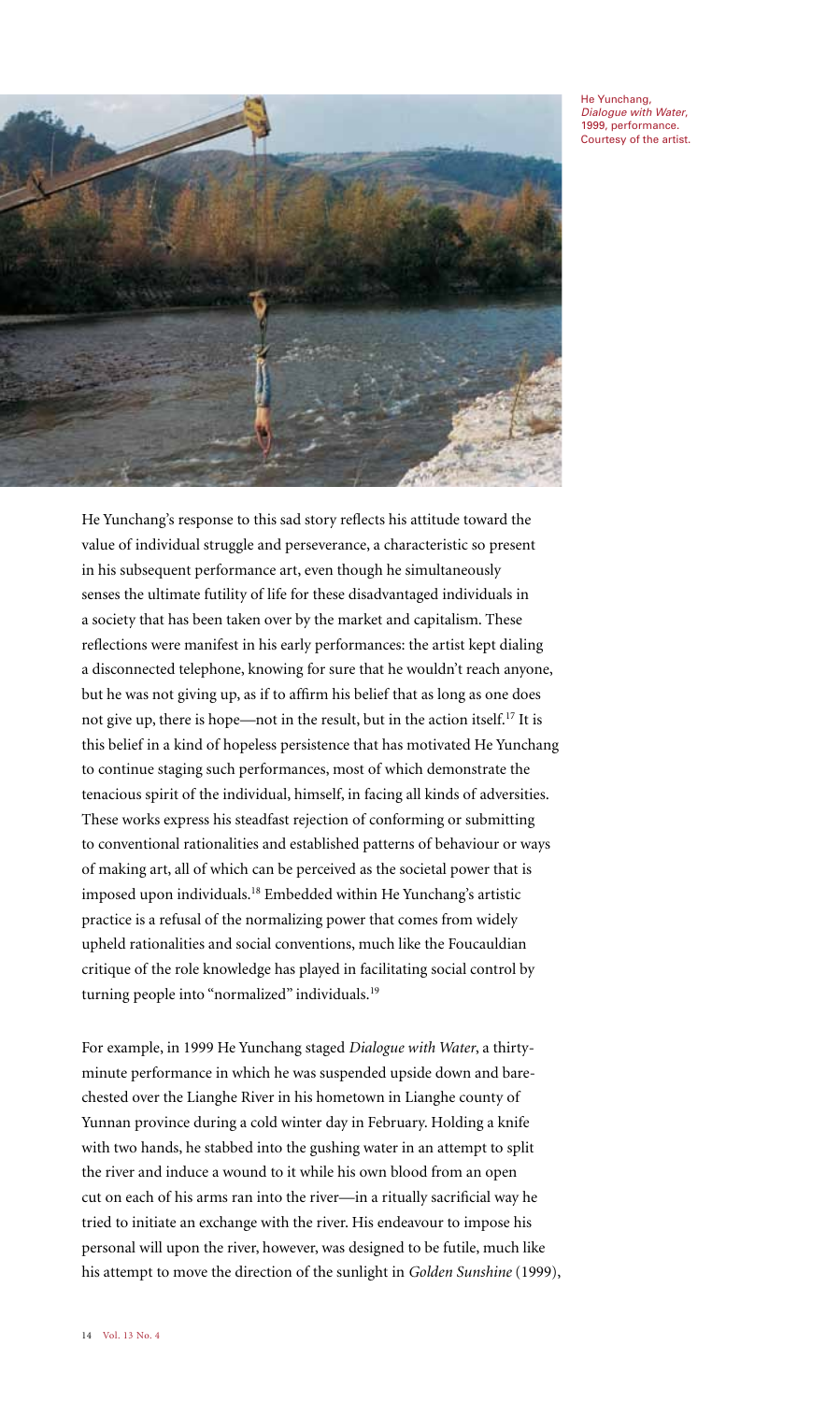He Yunchang, Dialogue with Water, 1999, performance. Courtesy of the artist.



He Yunchang's response to this sad story reflects his attitude toward the value of individual struggle and perseverance, a characteristic so present in his subsequent performance art, even though he simultaneously senses the ultimate futility of life for these disadvantaged individuals in a society that has been taken over by the market and capitalism. These reflections were manifest in his early performances: the artist kept dialing a disconnected telephone, knowing for sure that he wouldn't reach anyone, but he was not giving up, as if to affirm his belief that as long as one does not give up, there is hope—not in the result, but in the action itself.17 It is this belief in a kind of hopeless persistence that has motivated He Yunchang to continue staging such performances, most of which demonstrate the tenacious spirit of the individual, himself, in facing all kinds of adversities. These works express his steadfast rejection of conforming or submitting to conventional rationalities and established patterns of behaviour or ways of making art, all of which can be perceived as the societal power that is imposed upon individuals.18 Embedded within He Yunchang's artistic practice is a refusal of the normalizing power that comes from widely upheld rationalities and social conventions, much like the Foucauldian critique of the role knowledge has played in facilitating social control by turning people into "normalized" individuals.<sup>19</sup>

For example, in 1999 He Yunchang staged *Dialogue with Water*, a thirtyminute performance in which he was suspended upside down and barechested over the Lianghe River in his hometown in Lianghe county of Yunnan province during a cold winter day in February. Holding a knife with two hands, he stabbed into the gushing water in an attempt to split the river and induce a wound to it while his own blood from an open cut on each of his arms ran into the river—in a ritually sacrificial way he tried to initiate an exchange with the river. His endeavour to impose his personal will upon the river, however, was designed to be futile, much like his attempt to move the direction of the sunlight in *Golden Sunshine* (1999),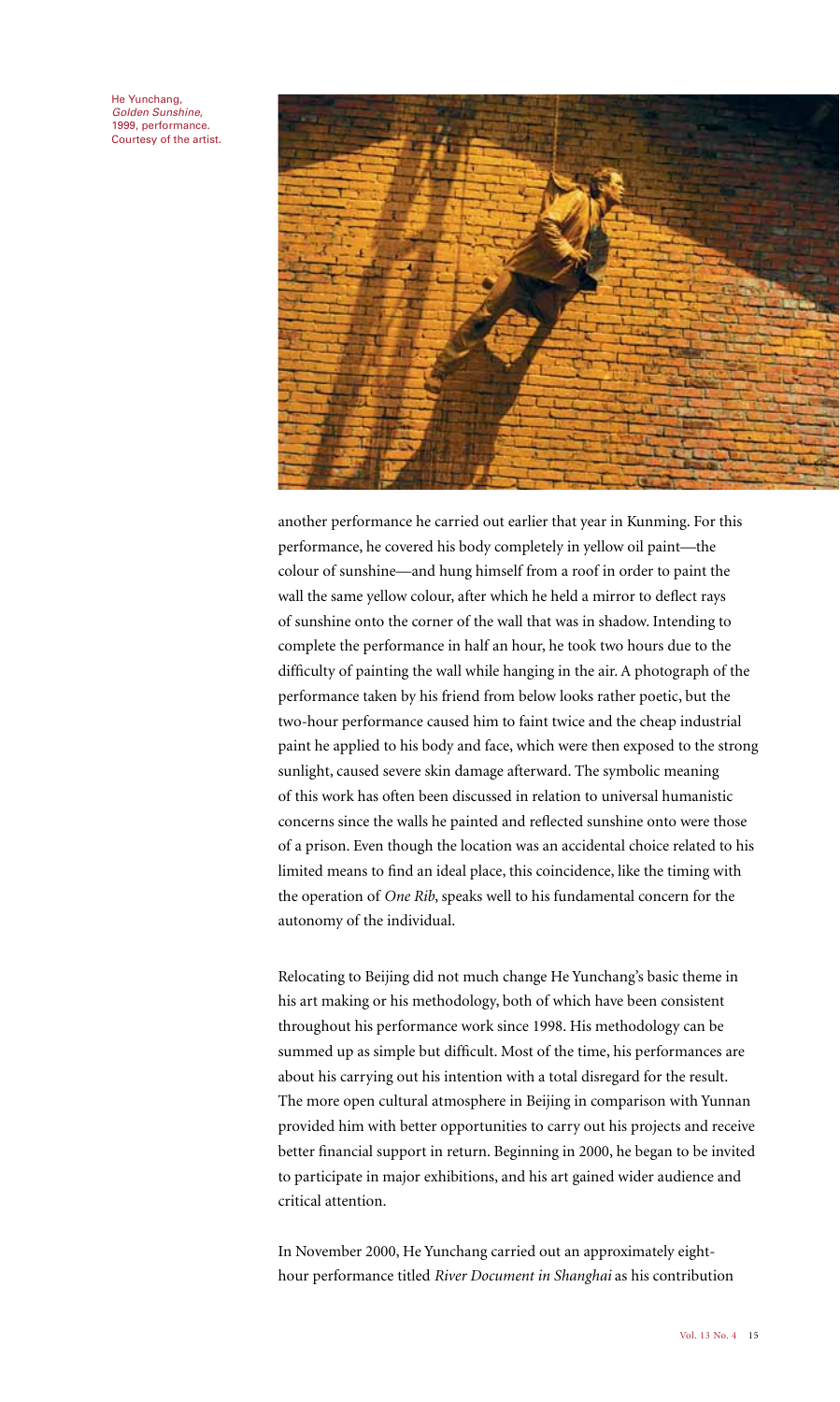He Yunchang, Golden Sunshine, 1999, performance. Courtesy of the artist.



another performance he carried out earlier that year in Kunming. For this performance, he covered his body completely in yellow oil paint—the colour of sunshine—and hung himself from a roof in order to paint the wall the same yellow colour, after which he held a mirror to deflect rays of sunshine onto the corner of the wall that was in shadow. Intending to complete the performance in half an hour, he took two hours due to the difficulty of painting the wall while hanging in the air. A photograph of the performance taken by his friend from below looks rather poetic, but the two-hour performance caused him to faint twice and the cheap industrial paint he applied to his body and face, which were then exposed to the strong sunlight, caused severe skin damage afterward. The symbolic meaning of this work has often been discussed in relation to universal humanistic concerns since the walls he painted and reflected sunshine onto were those of a prison. Even though the location was an accidental choice related to his limited means to find an ideal place, this coincidence, like the timing with the operation of *One Rib*, speaks well to his fundamental concern for the autonomy of the individual.

Relocating to Beijing did not much change He Yunchang's basic theme in his art making or his methodology, both of which have been consistent throughout his performance work since 1998. His methodology can be summed up as simple but difficult. Most of the time, his performances are about his carrying out his intention with a total disregard for the result. The more open cultural atmosphere in Beijing in comparison with Yunnan provided him with better opportunities to carry out his projects and receive better financial support in return. Beginning in 2000, he began to be invited to participate in major exhibitions, and his art gained wider audience and critical attention.

In November 2000, He Yunchang carried out an approximately eighthour performance titled *River Document in Shanghai* as his contribution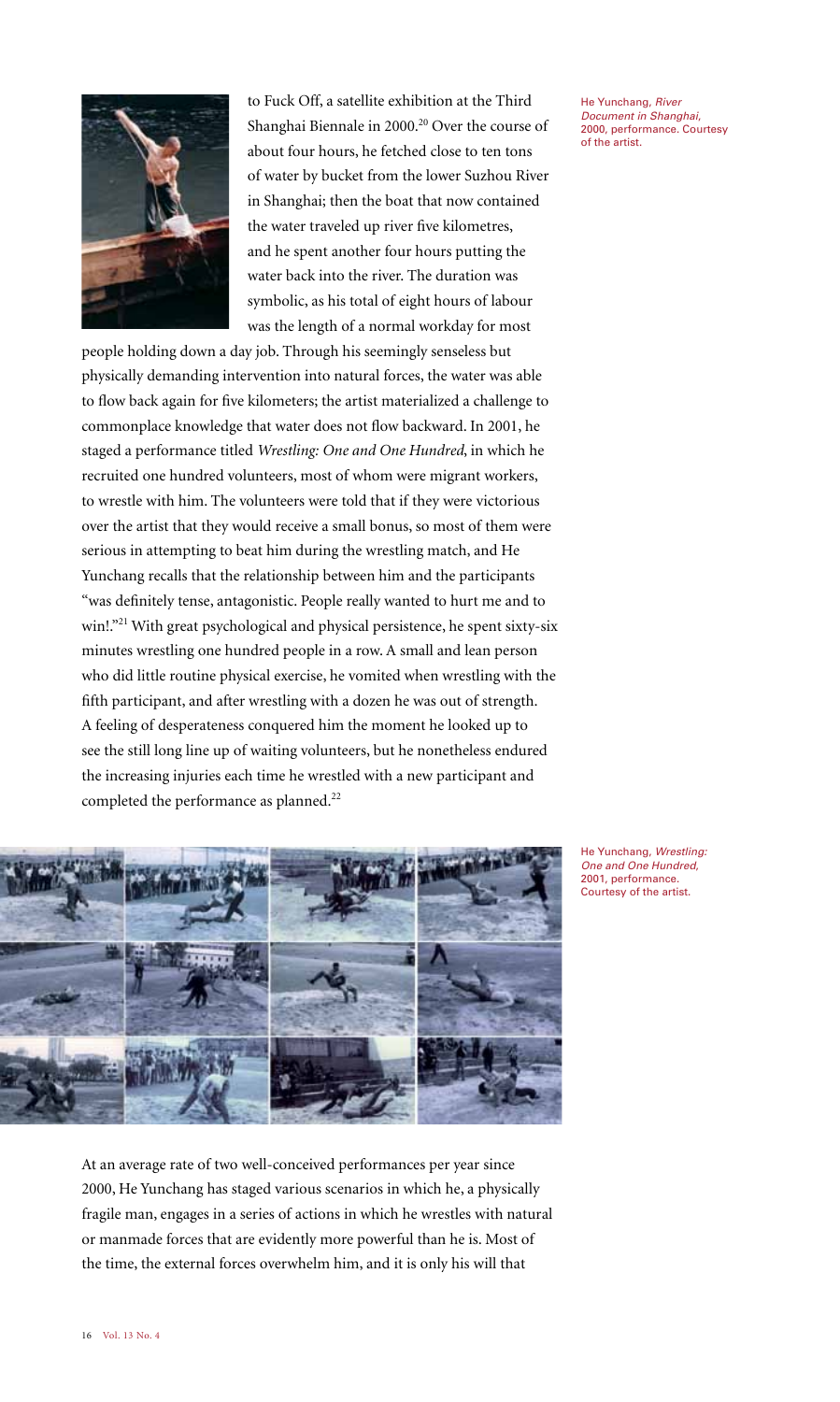

to Fuck Off, a satellite exhibition at the Third Shanghai Biennale in 2000.<sup>20</sup> Over the course of about four hours, he fetched close to ten tons of water by bucket from the lower Suzhou River in Shanghai; then the boat that now contained the water traveled up river five kilometres, and he spent another four hours putting the water back into the river. The duration was symbolic, as his total of eight hours of labour was the length of a normal workday for most

people holding down a day job. Through his seemingly senseless but physically demanding intervention into natural forces, the water was able to flow back again for five kilometers; the artist materialized a challenge to commonplace knowledge that water does not flow backward. In 2001, he staged a performance titled *Wrestling: One and One Hundred*, in which he recruited one hundred volunteers, most of whom were migrant workers, to wrestle with him. The volunteers were told that if they were victorious over the artist that they would receive a small bonus, so most of them were serious in attempting to beat him during the wrestling match, and He Yunchang recalls that the relationship between him and the participants "was definitely tense, antagonistic. People really wanted to hurt me and to win!."<sup>21</sup> With great psychological and physical persistence, he spent sixty-six minutes wrestling one hundred people in a row. A small and lean person who did little routine physical exercise, he vomited when wrestling with the fifth participant, and after wrestling with a dozen he was out of strength. A feeling of desperateness conquered him the moment he looked up to see the still long line up of waiting volunteers, but he nonetheless endured the increasing injuries each time he wrestled with a new participant and completed the performance as planned.<sup>22</sup>



He Yunchang, Wrestling: One and One Hundred, 2001, performance. Courtesy of the artist.

At an average rate of two well-conceived performances per year since 2000, He Yunchang has staged various scenarios in which he, a physically fragile man, engages in a series of actions in which he wrestles with natural or manmade forces that are evidently more powerful than he is. Most of the time, the external forces overwhelm him, and it is only his will that

He Yunchang, River Document in Shanghai, 2000, performance. Courtesy of the artist.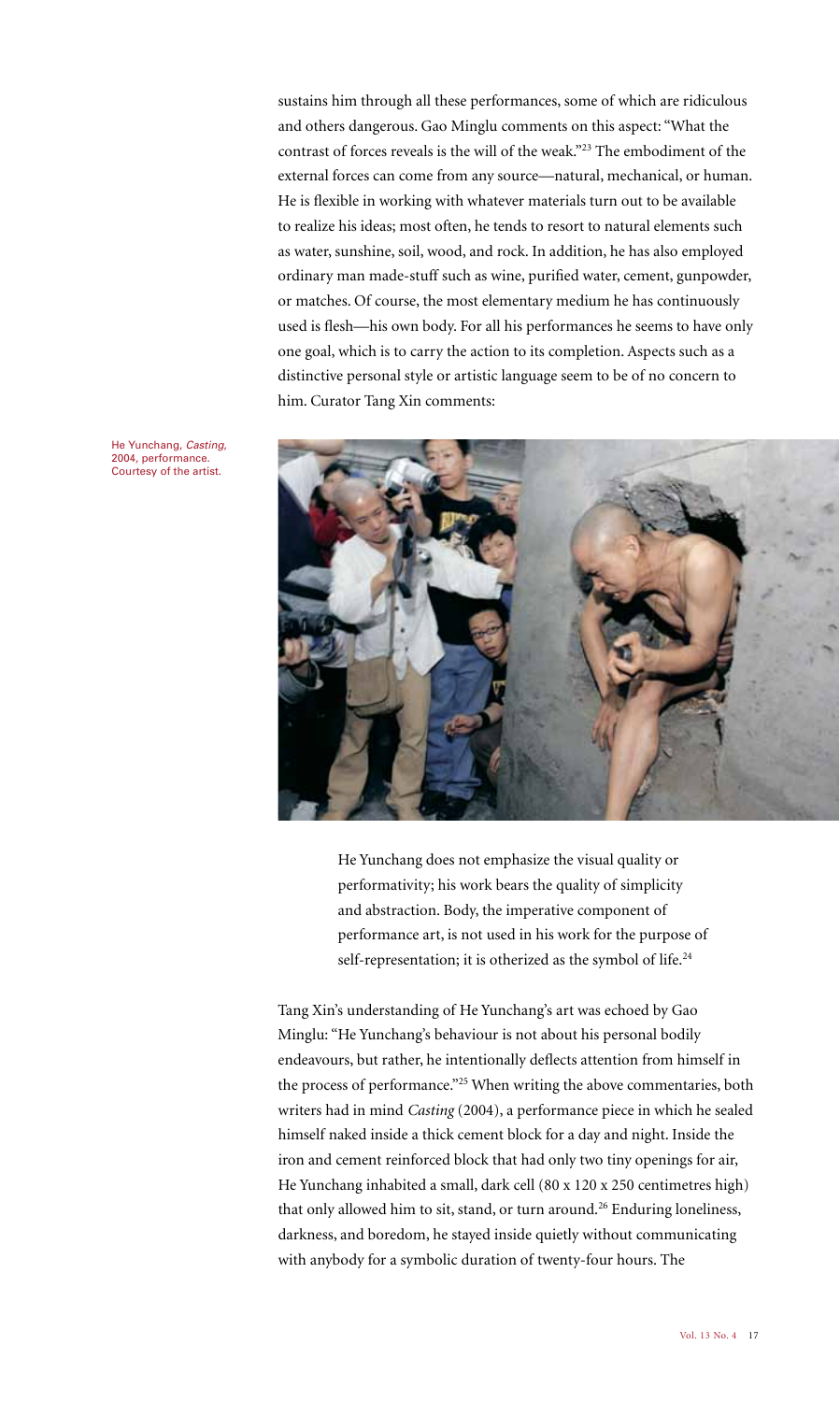sustains him through all these performances, some of which are ridiculous and others dangerous. Gao Minglu comments on this aspect: "What the contrast of forces reveals is the will of the weak."23 The embodiment of the external forces can come from any source—natural, mechanical, or human. He is flexible in working with whatever materials turn out to be available to realize his ideas; most often, he tends to resort to natural elements such as water, sunshine, soil, wood, and rock. In addition, he has also employed ordinary man made-stuff such as wine, purified water, cement, gunpowder, or matches. Of course, the most elementary medium he has continuously used is flesh—his own body. For all his performances he seems to have only one goal, which is to carry the action to its completion. Aspects such as a distinctive personal style or artistic language seem to be of no concern to him. Curator Tang Xin comments:

He Yunchang, Casting, 2004, performance. Courtesy of the artist.



He Yunchang does not emphasize the visual quality or performativity; his work bears the quality of simplicity and abstraction. Body, the imperative component of performance art, is not used in his work for the purpose of self-representation; it is otherized as the symbol of life.<sup>24</sup>

Tang Xin's understanding of He Yunchang's art was echoed by Gao Minglu: "He Yunchang's behaviour is not about his personal bodily endeavours, but rather, he intentionally deflects attention from himself in the process of performance."25 When writing the above commentaries, both writers had in mind *Casting* (2004), a performance piece in which he sealed himself naked inside a thick cement block for a day and night. Inside the iron and cement reinforced block that had only two tiny openings for air, He Yunchang inhabited a small, dark cell (80 x 120 x 250 centimetres high) that only allowed him to sit, stand, or turn around.<sup>26</sup> Enduring loneliness, darkness, and boredom, he stayed inside quietly without communicating with anybody for a symbolic duration of twenty-four hours. The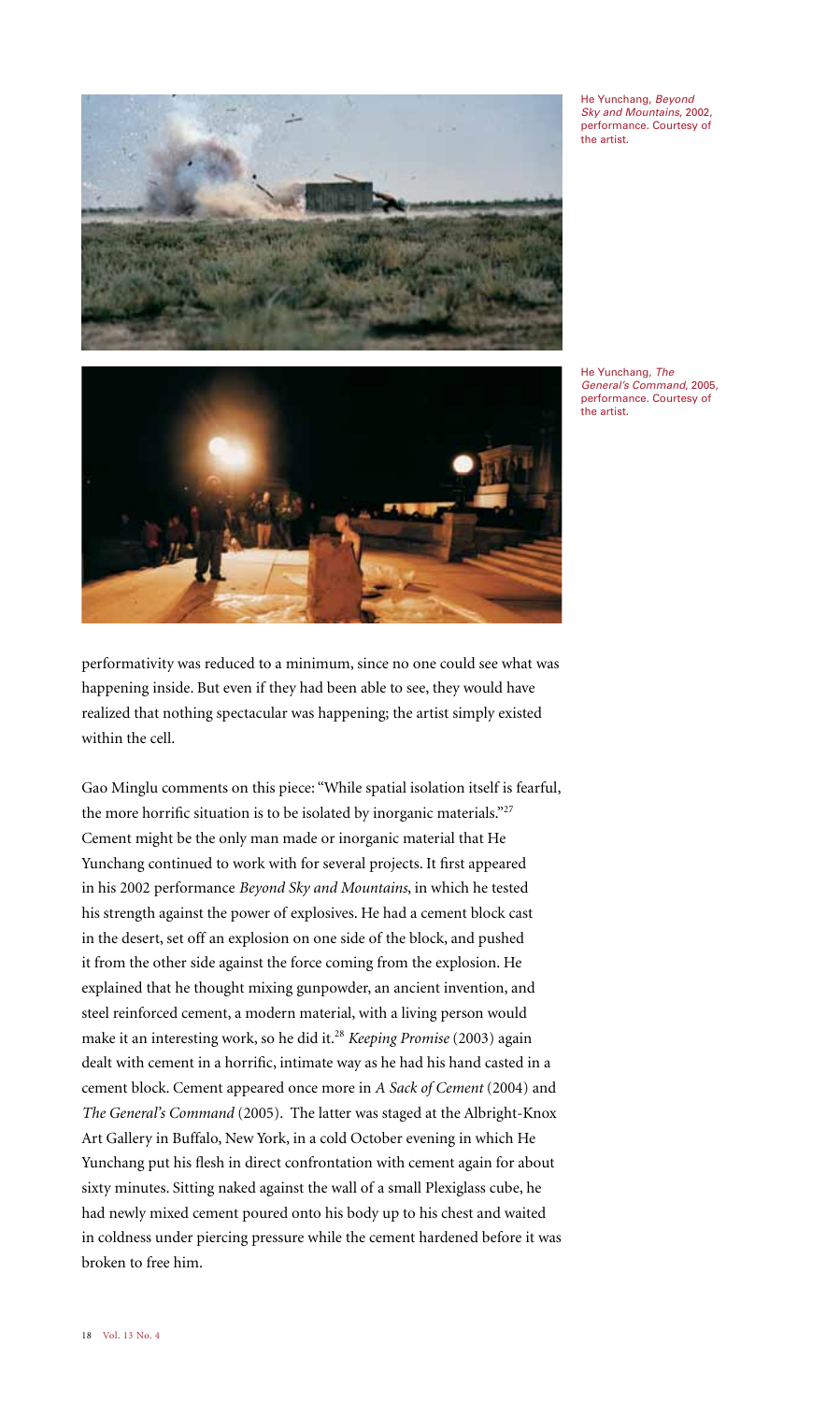

He Yunchang, Beyond Sky and Mountains, 2002, performance. Courtesy of the artist.



General's Command, 2005, performance. Courtesy of the artist.

performativity was reduced to a minimum, since no one could see what was happening inside. But even if they had been able to see, they would have realized that nothing spectacular was happening; the artist simply existed within the cell.

Gao Minglu comments on this piece: "While spatial isolation itself is fearful, the more horrific situation is to be isolated by inorganic materials."27 Cement might be the only man made or inorganic material that He Yunchang continued to work with for several projects. It first appeared in his 2002 performance *Beyond Sky and Mountains*, in which he tested his strength against the power of explosives. He had a cement block cast in the desert, set off an explosion on one side of the block, and pushed it from the other side against the force coming from the explosion. He explained that he thought mixing gunpowder, an ancient invention, and steel reinforced cement, a modern material, with a living person would make it an interesting work, so he did it.28 *Keeping Promise* (2003) again dealt with cement in a horrific, intimate way as he had his hand casted in a cement block. Cement appeared once more in *A Sack of Cement* (2004) and *The General's Command* (2005). The latter was staged at the Albright-Knox Art Gallery in Buffalo, New York, in a cold October evening in which He Yunchang put his flesh in direct confrontation with cement again for about sixty minutes. Sitting naked against the wall of a small Plexiglass cube, he had newly mixed cement poured onto his body up to his chest and waited in coldness under piercing pressure while the cement hardened before it was broken to free him.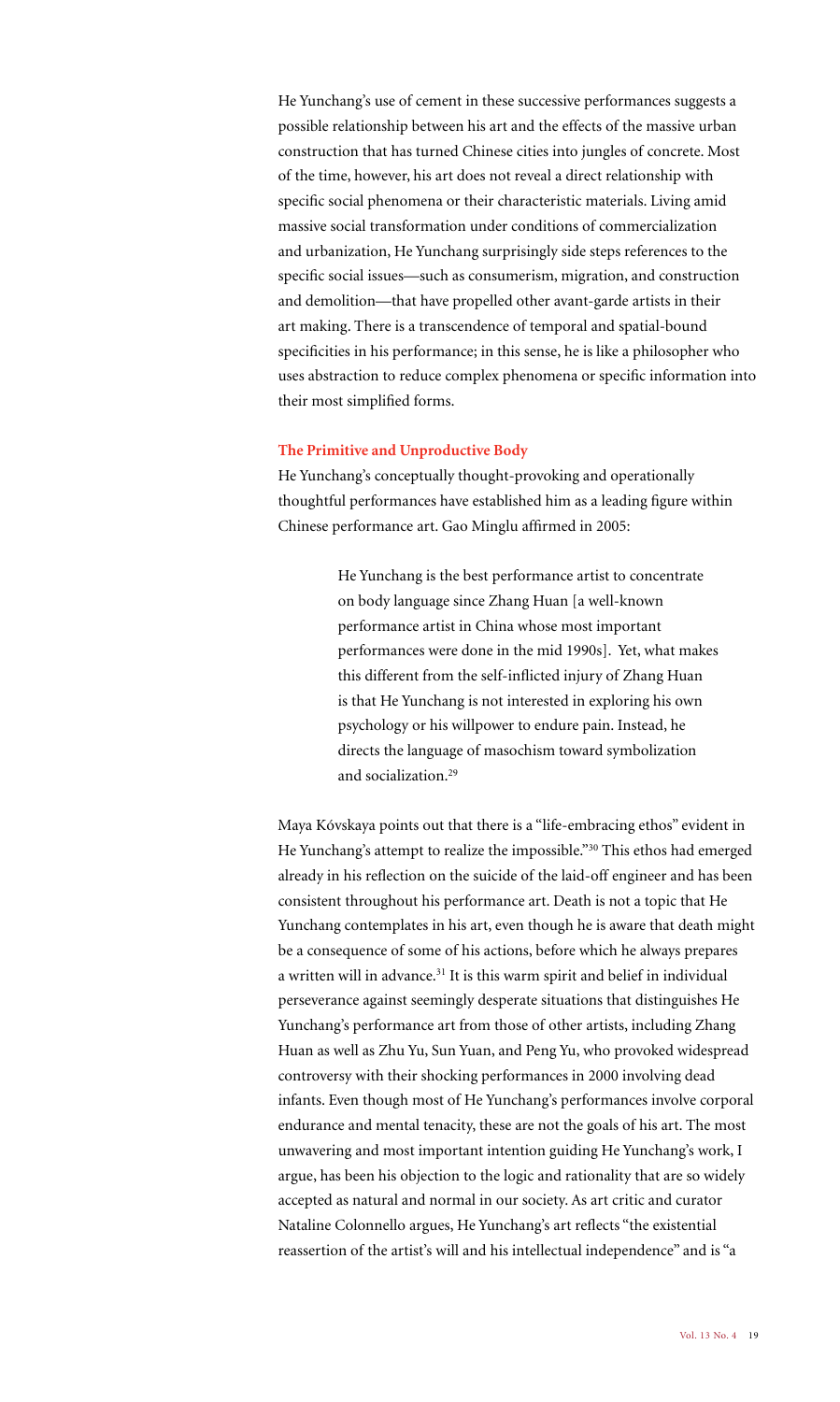He Yunchang's use of cement in these successive performances suggests a possible relationship between his art and the effects of the massive urban construction that has turned Chinese cities into jungles of concrete. Most of the time, however, his art does not reveal a direct relationship with specific social phenomena or their characteristic materials. Living amid massive social transformation under conditions of commercialization and urbanization, He Yunchang surprisingly side steps references to the specific social issues—such as consumerism, migration, and construction and demolition—that have propelled other avant-garde artists in their art making. There is a transcendence of temporal and spatial-bound specificities in his performance; in this sense, he is like a philosopher who uses abstraction to reduce complex phenomena or specific information into their most simplified forms.

## **The Primitive and Unproductive Body**

He Yunchang's conceptually thought-provoking and operationally thoughtful performances have established him as a leading figure within Chinese performance art. Gao Minglu affirmed in 2005:

> He Yunchang is the best performance artist to concentrate on body language since Zhang Huan [a well-known performance artist in China whose most important performances were done in the mid 1990s]. Yet, what makes this different from the self-inflicted injury of Zhang Huan is that He Yunchang is not interested in exploring his own psychology or his willpower to endure pain. Instead, he directs the language of masochism toward symbolization and socialization.29

Maya Kóvskaya points out that there is a "life-embracing ethos" evident in He Yunchang's attempt to realize the impossible."30 This ethos had emerged already in his reflection on the suicide of the laid-off engineer and has been consistent throughout his performance art. Death is not a topic that He Yunchang contemplates in his art, even though he is aware that death might be a consequence of some of his actions, before which he always prepares a written will in advance.<sup>31</sup> It is this warm spirit and belief in individual perseverance against seemingly desperate situations that distinguishes He Yunchang's performance art from those of other artists, including Zhang Huan as well as Zhu Yu, Sun Yuan, and Peng Yu, who provoked widespread controversy with their shocking performances in 2000 involving dead infants. Even though most of He Yunchang's performances involve corporal endurance and mental tenacity, these are not the goals of his art. The most unwavering and most important intention guiding He Yunchang's work, I argue, has been his objection to the logic and rationality that are so widely accepted as natural and normal in our society. As art critic and curator Nataline Colonnello argues, He Yunchang's art reflects "the existential reassertion of the artist's will and his intellectual independence" and is "a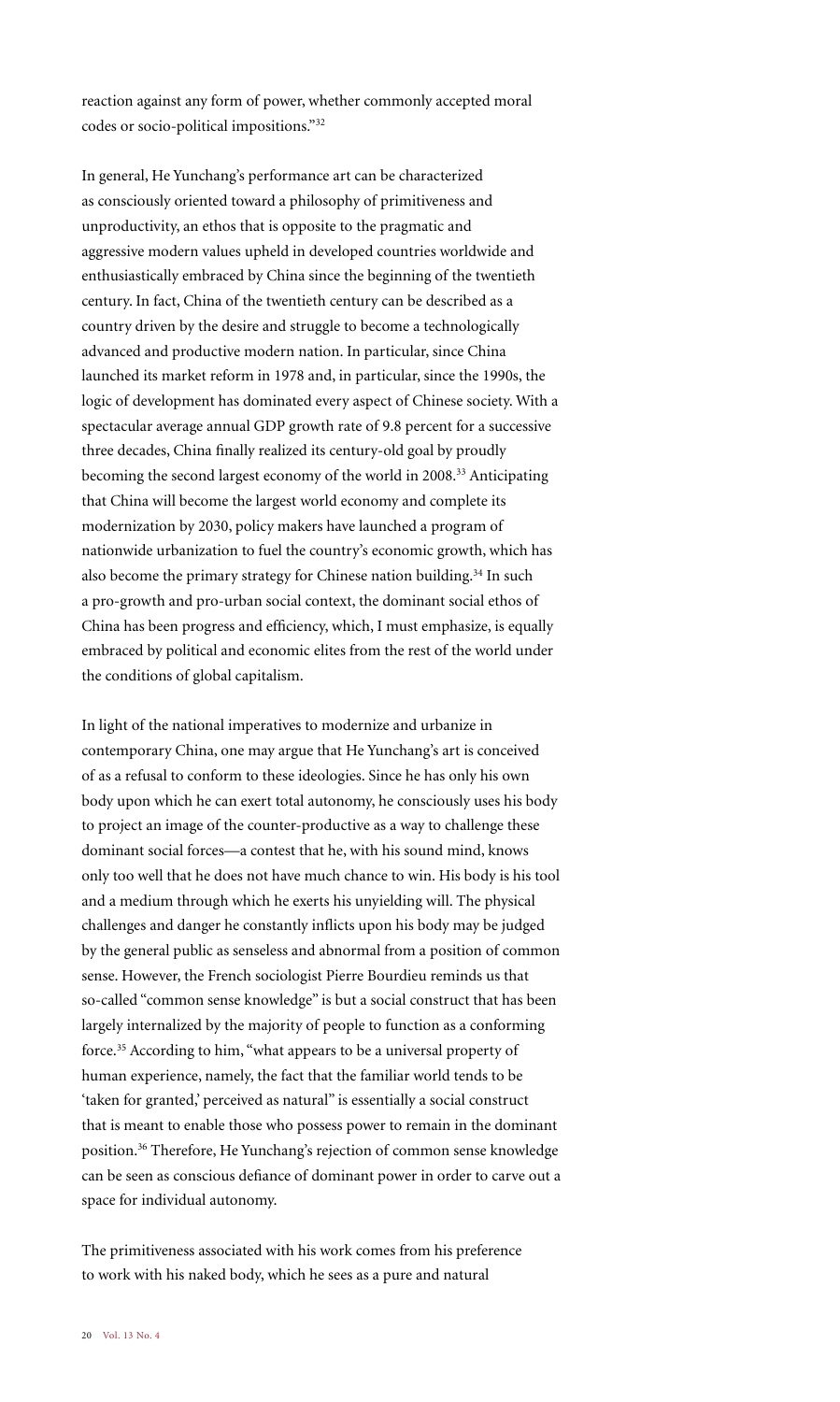reaction against any form of power, whether commonly accepted moral codes or socio-political impositions."32

In general, He Yunchang's performance art can be characterized as consciously oriented toward a philosophy of primitiveness and unproductivity, an ethos that is opposite to the pragmatic and aggressive modern values upheld in developed countries worldwide and enthusiastically embraced by China since the beginning of the twentieth century. In fact, China of the twentieth century can be described as a country driven by the desire and struggle to become a technologically advanced and productive modern nation. In particular, since China launched its market reform in 1978 and, in particular, since the 1990s, the logic of development has dominated every aspect of Chinese society. With a spectacular average annual GDP growth rate of 9.8 percent for a successive three decades, China finally realized its century-old goal by proudly becoming the second largest economy of the world in 2008.33 Anticipating that China will become the largest world economy and complete its modernization by 2030, policy makers have launched a program of nationwide urbanization to fuel the country's economic growth, which has also become the primary strategy for Chinese nation building.34 In such a pro-growth and pro-urban social context, the dominant social ethos of China has been progress and efficiency, which, I must emphasize, is equally embraced by political and economic elites from the rest of the world under the conditions of global capitalism.

In light of the national imperatives to modernize and urbanize in contemporary China, one may argue that He Yunchang's art is conceived of as a refusal to conform to these ideologies. Since he has only his own body upon which he can exert total autonomy, he consciously uses his body to project an image of the counter-productive as a way to challenge these dominant social forces—a contest that he, with his sound mind, knows only too well that he does not have much chance to win. His body is his tool and a medium through which he exerts his unyielding will. The physical challenges and danger he constantly inflicts upon his body may be judged by the general public as senseless and abnormal from a position of common sense. However, the French sociologist Pierre Bourdieu reminds us that so-called "common sense knowledge" is but a social construct that has been largely internalized by the majority of people to function as a conforming force.35 According to him, "what appears to be a universal property of human experience, namely, the fact that the familiar world tends to be 'taken for granted,' perceived as natural" is essentially a social construct that is meant to enable those who possess power to remain in the dominant position.36 Therefore, He Yunchang's rejection of common sense knowledge can be seen as conscious defiance of dominant power in order to carve out a space for individual autonomy.

The primitiveness associated with his work comes from his preference to work with his naked body, which he sees as a pure and natural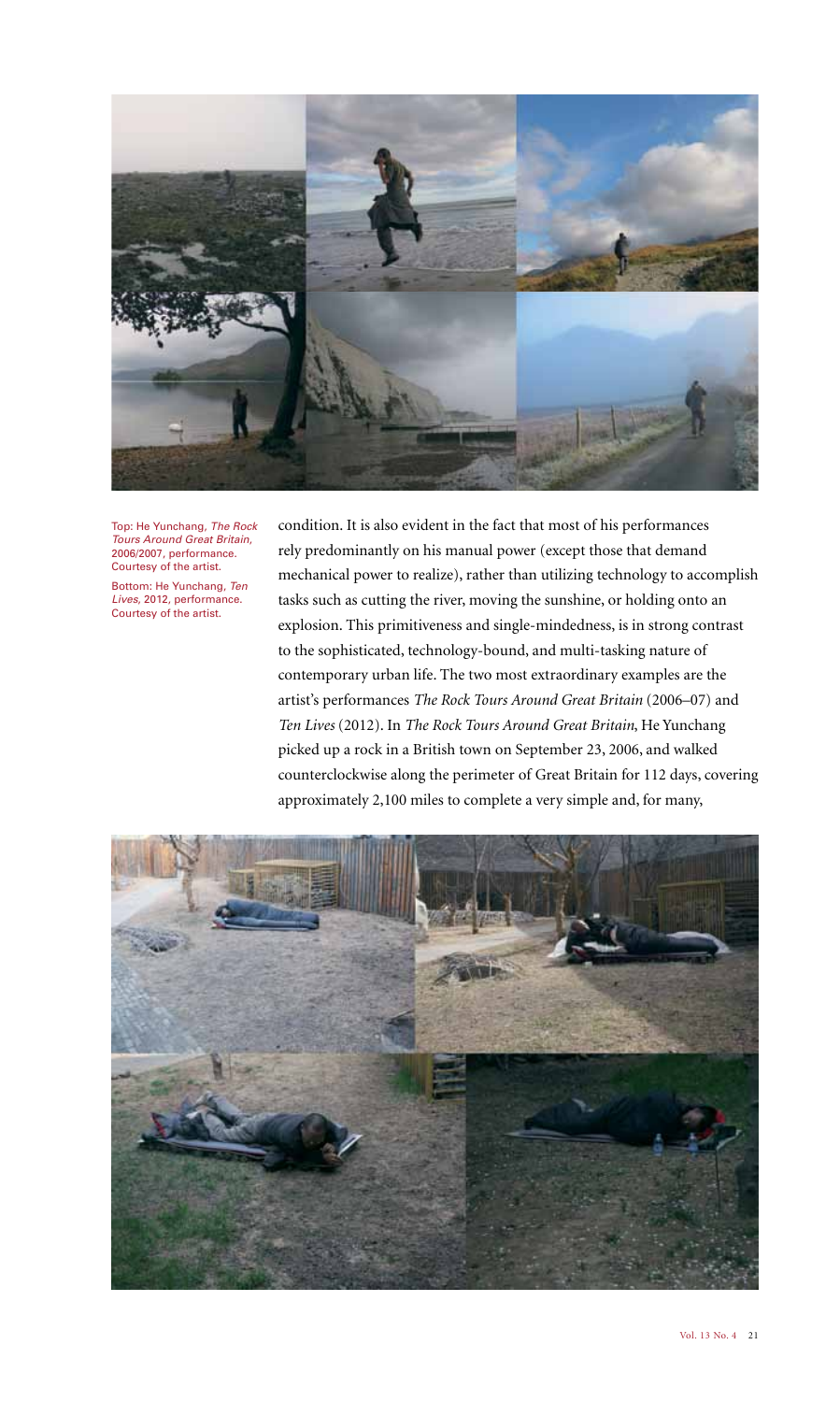

Top: He Yunchang, The Rock Tours Around Great Britain, 2006/2007, performance. Courtesy of the artist.

Bottom: He Yunchang, Ten Lives, 2012, performance. Courtesy of the artist.

condition. It is also evident in the fact that most of his performances rely predominantly on his manual power (except those that demand mechanical power to realize), rather than utilizing technology to accomplish tasks such as cutting the river, moving the sunshine, or holding onto an explosion. This primitiveness and single-mindedness, is in strong contrast to the sophisticated, technology-bound, and multi-tasking nature of contemporary urban life. The two most extraordinary examples are the artist's performances *The Rock Tours Around Great Britain* (2006–07) and *Ten Lives* (2012). In *The Rock Tours Around Great Britain*, He Yunchang picked up a rock in a British town on September 23, 2006, and walked counterclockwise along the perimeter of Great Britain for 112 days, covering approximately 2,100 miles to complete a very simple and, for many,

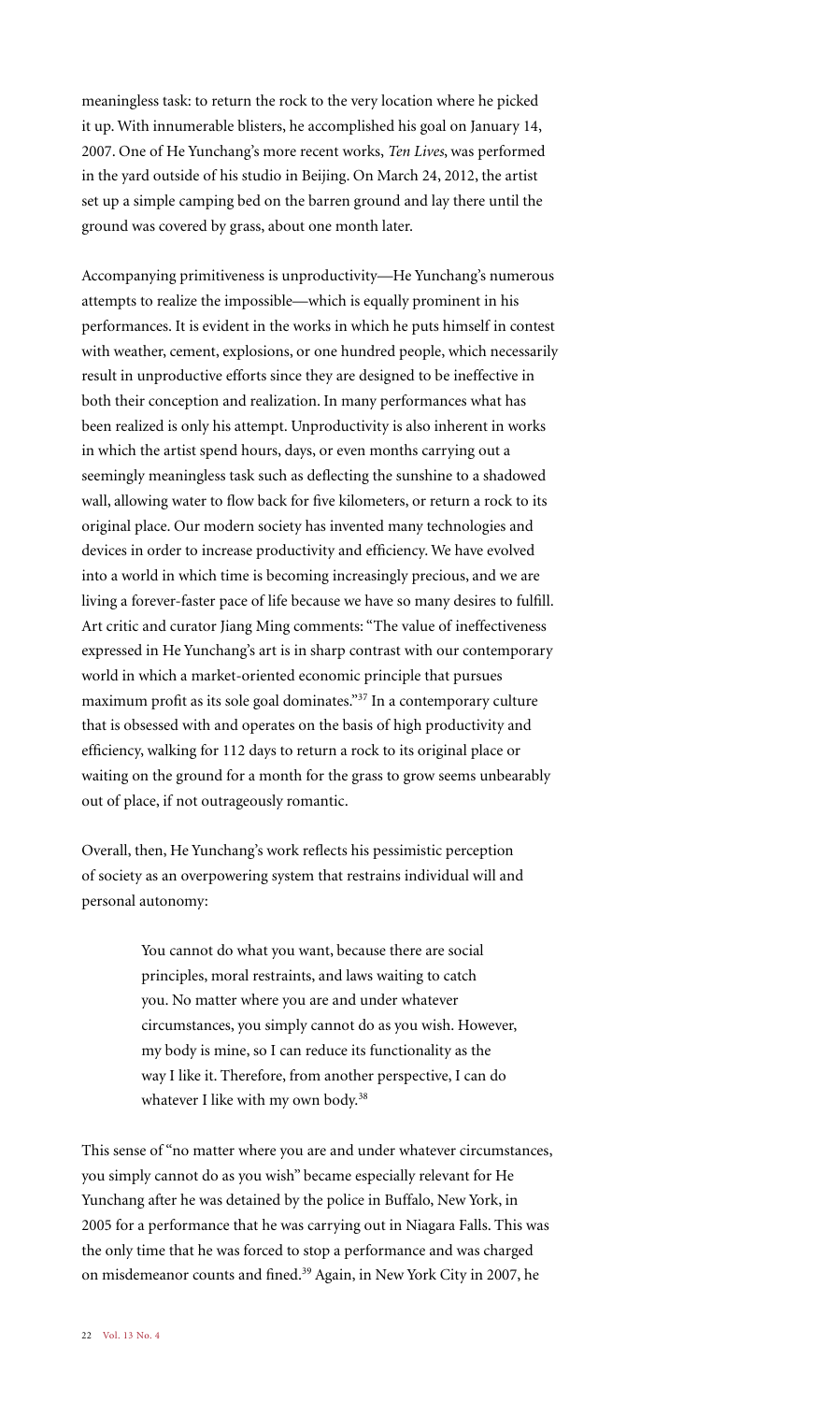meaningless task: to return the rock to the very location where he picked it up. With innumerable blisters, he accomplished his goal on January 14, 2007. One of He Yunchang's more recent works, *Ten Lives*, was performed in the yard outside of his studio in Beijing. On March 24, 2012, the artist set up a simple camping bed on the barren ground and lay there until the ground was covered by grass, about one month later.

Accompanying primitiveness is unproductivity—He Yunchang's numerous attempts to realize the impossible—which is equally prominent in his performances. It is evident in the works in which he puts himself in contest with weather, cement, explosions, or one hundred people, which necessarily result in unproductive efforts since they are designed to be ineffective in both their conception and realization. In many performances what has been realized is only his attempt. Unproductivity is also inherent in works in which the artist spend hours, days, or even months carrying out a seemingly meaningless task such as deflecting the sunshine to a shadowed wall, allowing water to flow back for five kilometers, or return a rock to its original place. Our modern society has invented many technologies and devices in order to increase productivity and efficiency. We have evolved into a world in which time is becoming increasingly precious, and we are living a forever-faster pace of life because we have so many desires to fulfill. Art critic and curator Jiang Ming comments: "The value of ineffectiveness expressed in He Yunchang's art is in sharp contrast with our contemporary world in which a market-oriented economic principle that pursues maximum profit as its sole goal dominates."37 In a contemporary culture that is obsessed with and operates on the basis of high productivity and efficiency, walking for 112 days to return a rock to its original place or waiting on the ground for a month for the grass to grow seems unbearably out of place, if not outrageously romantic.

Overall, then, He Yunchang's work reflects his pessimistic perception of society as an overpowering system that restrains individual will and personal autonomy:

> You cannot do what you want, because there are social principles, moral restraints, and laws waiting to catch you. No matter where you are and under whatever circumstances, you simply cannot do as you wish. However, my body is mine, so I can reduce its functionality as the way I like it. Therefore, from another perspective, I can do whatever I like with my own body.<sup>38</sup>

This sense of "no matter where you are and under whatever circumstances, you simply cannot do as you wish" became especially relevant for He Yunchang after he was detained by the police in Buffalo, New York, in 2005 for a performance that he was carrying out in Niagara Falls. This was the only time that he was forced to stop a performance and was charged on misdemeanor counts and fined.39 Again, in New York City in 2007, he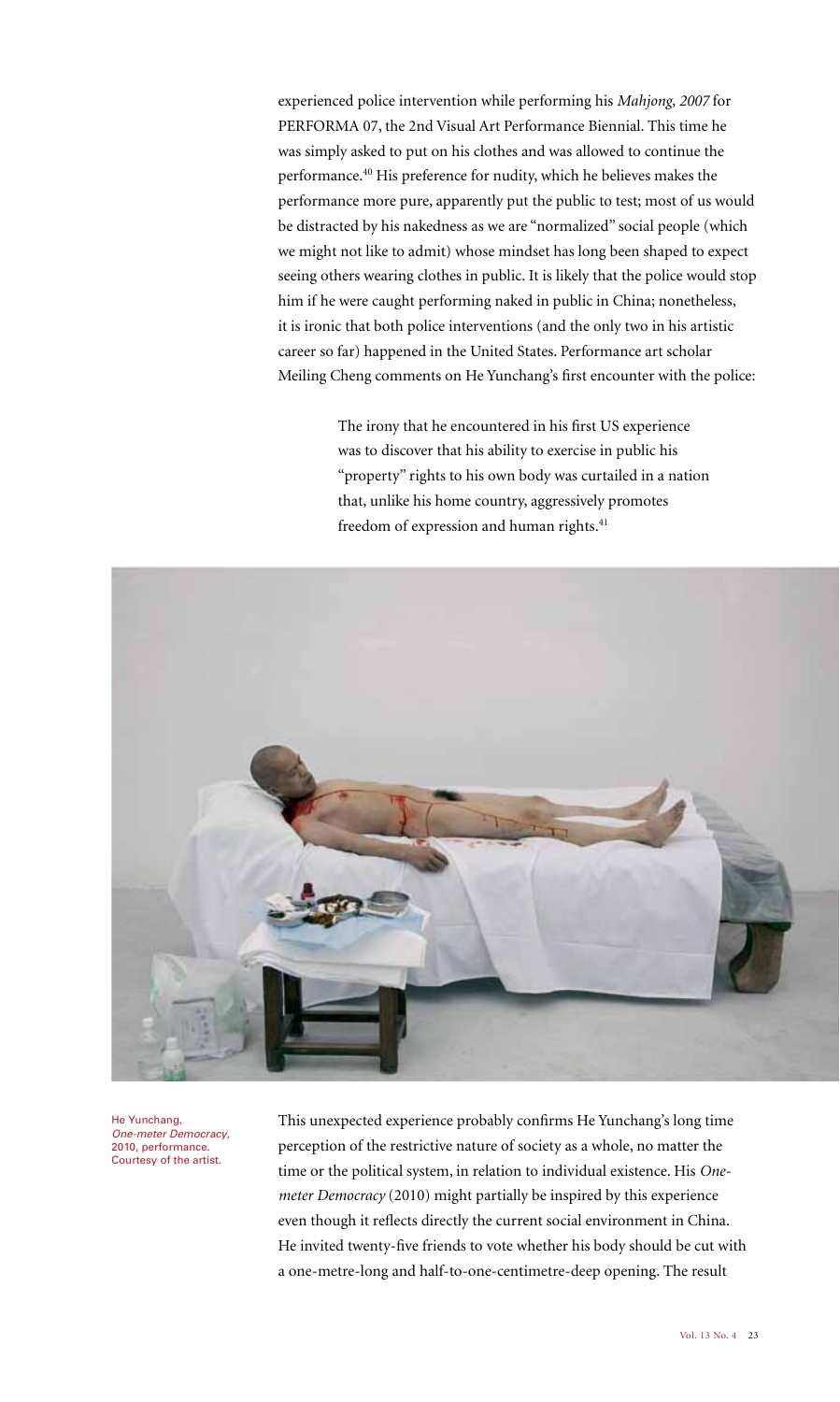experienced police intervention while performing his *Mahjong, 2007* for PERFORMA 07, the 2nd Visual Art Performance Biennial. This time he was simply asked to put on his clothes and was allowed to continue the performance.40 His preference for nudity, which he believes makes the performance more pure, apparently put the public to test; most of us would be distracted by his nakedness as we are "normalized" social people (which we might not like to admit) whose mindset has long been shaped to expect seeing others wearing clothes in public. It is likely that the police would stop him if he were caught performing naked in public in China; nonetheless, it is ironic that both police interventions (and the only two in his artistic career so far) happened in the United States. Performance art scholar Meiling Cheng comments on He Yunchang's first encounter with the police:

> The irony that he encountered in his first US experience was to discover that his ability to exercise in public his "property" rights to his own body was curtailed in a nation that, unlike his home country, aggressively promotes freedom of expression and human rights.<sup>41</sup>



He Yunchang, One-meter Democracy, 2010, performance. Courtesy of the artist.

This unexpected experience probably confirms He Yunchang's long time perception of the restrictive nature of society as a whole, no matter the time or the political system, in relation to individual existence. His *Onemeter Democracy* (2010) might partially be inspired by this experience even though it reflects directly the current social environment in China. He invited twenty-five friends to vote whether his body should be cut with a one-metre-long and half-to-one-centimetre-deep opening. The result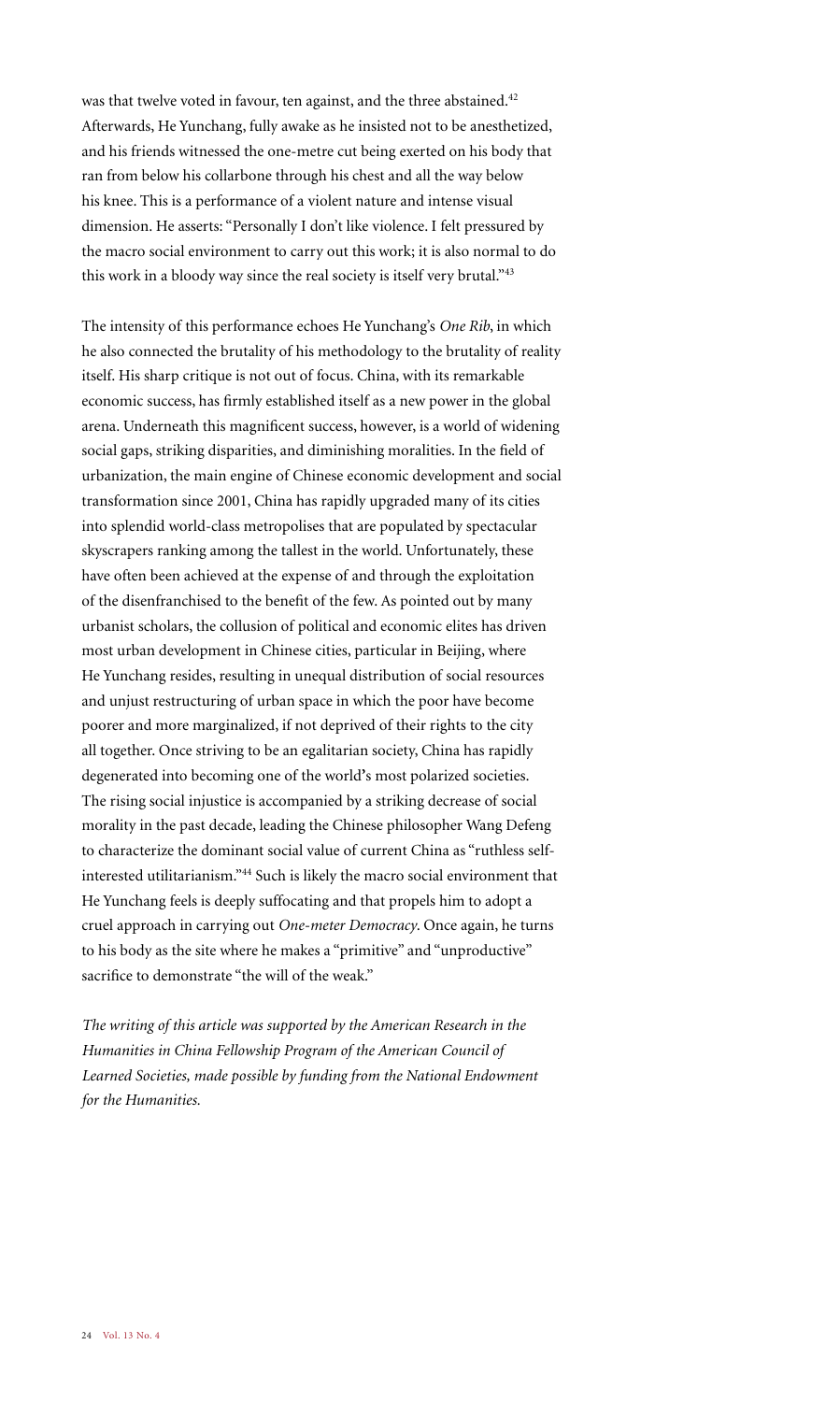was that twelve voted in favour, ten against, and the three abstained.<sup>42</sup> Afterwards, He Yunchang, fully awake as he insisted not to be anesthetized, and his friends witnessed the one-metre cut being exerted on his body that ran from below his collarbone through his chest and all the way below his knee. This is a performance of a violent nature and intense visual dimension. He asserts: "Personally I don't like violence. I felt pressured by the macro social environment to carry out this work; it is also normal to do this work in a bloody way since the real society is itself very brutal."<sup>43</sup>

The intensity of this performance echoes He Yunchang's *One Rib*, in which he also connected the brutality of his methodology to the brutality of reality itself. His sharp critique is not out of focus. China, with its remarkable economic success, has firmly established itself as a new power in the global arena. Underneath this magnificent success, however, is a world of widening social gaps, striking disparities, and diminishing moralities. In the field of urbanization, the main engine of Chinese economic development and social transformation since 2001, China has rapidly upgraded many of its cities into splendid world-class metropolises that are populated by spectacular skyscrapers ranking among the tallest in the world. Unfortunately, these have often been achieved at the expense of and through the exploitation of the disenfranchised to the benefit of the few. As pointed out by many urbanist scholars, the collusion of political and economic elites has driven most urban development in Chinese cities, particular in Beijing, where He Yunchang resides, resulting in unequal distribution of social resources and unjust restructuring of urban space in which the poor have become poorer and more marginalized, if not deprived of their rights to the city all together. Once striving to be an egalitarian society, China has rapidly degenerated into becoming one of the world**'**s most polarized societies. The rising social injustice is accompanied by a striking decrease of social morality in the past decade, leading the Chinese philosopher Wang Defeng to characterize the dominant social value of current China as "ruthless selfinterested utilitarianism."44 Such is likely the macro social environment that He Yunchang feels is deeply suffocating and that propels him to adopt a cruel approach in carrying out *One-meter Democracy*. Once again, he turns to his body as the site where he makes a "primitive" and "unproductive" sacrifice to demonstrate "the will of the weak."

*The writing of this article was supported by the American Research in the Humanities in China Fellowship Program of the American Council of*  Learned Societies, made possible by funding from the National Endowment *for the Humanities.*